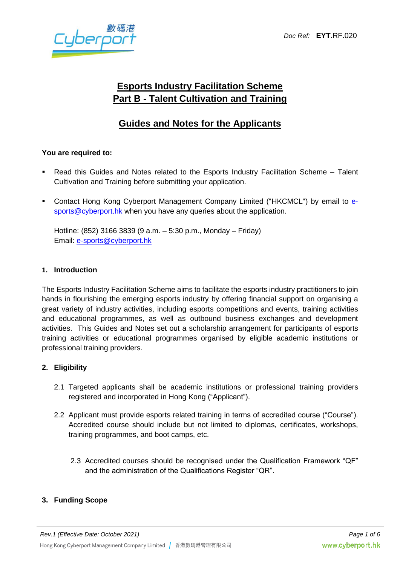yberp

# **Esports Industry Facilitation Scheme Part B - Talent Cultivation and Training**

## **Guides and Notes for the Applicants**

## **You are required to:**

- Read this Guides and Notes related to the Esports Industry Facilitation Scheme Talent Cultivation and Training before submitting your application.
- Contact Hong Kong Cyberport Management Company Limited ("HKCMCL") by email to [e](e-sports@cyberport.hk%20)[sports@cyberport.hk](e-sports@cyberport.hk%20) when you have any queries about the application.

Hotline: (852) 3166 3839 (9 a.m. – 5:30 p.m., Monday – Friday) Email: [e-sports@cyberport.hk](mailto:e-sports@cyberport.hk)

#### **1. Introduction**

The Esports Industry Facilitation Scheme aims to facilitate the esports industry practitioners to join hands in flourishing the emerging esports industry by offering financial support on organising a great variety of industry activities, including esports competitions and events, training activities and educational programmes, as well as outbound business exchanges and development activities. This Guides and Notes set out a scholarship arrangement for participants of esports training activities or educational programmes organised by eligible academic institutions or professional training providers.

## **2. Eligibility**

- 2.1 Targeted applicants shall be academic institutions or professional training providers registered and incorporated in Hong Kong ("Applicant").
- 2.2 Applicant must provide esports related training in terms of accredited course ("Course"). Accredited course should include but not limited to diplomas, certificates, workshops, training programmes, and boot camps, etc.
	- 2.3 Accredited courses should be recognised under the Qualification Framework "QF" and the administration of the Qualifications Register "QR".

## **3. Funding Scope**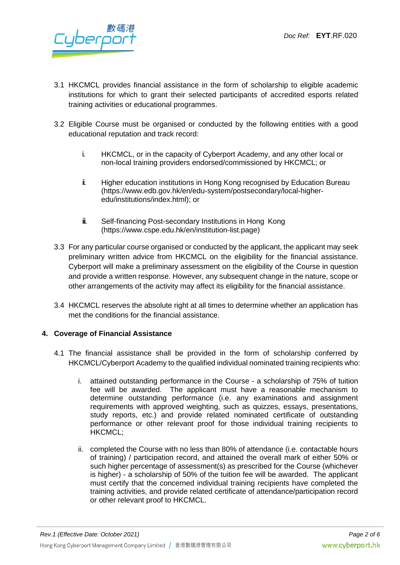

- 3.1 HKCMCL provides financial assistance in the form of scholarship to eligible academic institutions for which to grant their selected participants of accredited esports related training activities or educational programmes.
- 3.2 Eligible Course must be organised or conducted by the following entities with a good educational reputation and track record:
	- i. HKCMCL, or in the capacity of Cyberport Academy, and any other local or non-local training providers endorsed/commissioned by HKCMCL; or
	- ii. Higher education institutions in Hong Kong recognised by Education Bureau (https://www.edb.gov.hk/en/edu-system/postsecondary/local-higheredu/institutions/index.html); or
	- iii. Self-financing Post-secondary Institutions in Hong Kong (https:/[/www.cspe.edu.hk/en/institution-list.page\)](http://www.cspe.edu.hk/en/institution-list.page))
- 3.3 For any particular course organised or conducted by the applicant, the applicant may seek preliminary written advice from HKCMCL on the eligibility for the financial assistance. Cyberport will make a preliminary assessment on the eligibility of the Course in question and provide a written response. However, any subsequent change in the nature, scope or other arrangements of the activity may affect its eligibility for the financial assistance.
- 3.4 HKCMCL reserves the absolute right at all times to determine whether an application has met the conditions for the financial assistance.

## **4. Coverage of Financial Assistance**

- 4.1 The financial assistance shall be provided in the form of scholarship conferred by HKCMCL/Cyberport Academy to the qualified individual nominated training recipients who:
	- i. attained outstanding performance in the Course a scholarship of 75% of tuition fee will be awarded. The applicant must have a reasonable mechanism to determine outstanding performance (i.e. any examinations and assignment requirements with approved weighting, such as quizzes, essays, presentations, study reports, etc.) and provide related nominated certificate of outstanding performance or other relevant proof for those individual training recipients to HKCMCL;
	- ii. completed the Course with no less than 80% of attendance (i.e. contactable hours of training) / participation record, and attained the overall mark of either 50% or such higher percentage of assessment(s) as prescribed for the Course (whichever is higher) - a scholarship of 50% of the tuition fee will be awarded. The applicant must certify that the concerned individual training recipients have completed the training activities, and provide related certificate of attendance/participation record or other relevant proof to HKCMCL.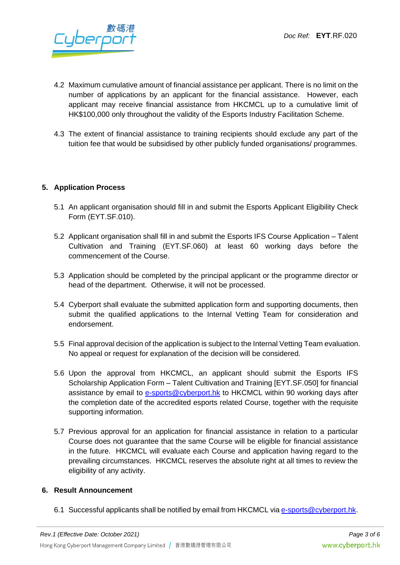

- 4.2 Maximum cumulative amount of financial assistance per applicant. There is no limit on the number of applications by an applicant for the financial assistance. However, each applicant may receive financial assistance from HKCMCL up to a cumulative limit of HK\$100,000 only throughout the validity of the Esports Industry Facilitation Scheme.
- 4.3 The extent of financial assistance to training recipients should exclude any part of the tuition fee that would be subsidised by other publicly funded organisations/ programmes.

#### **5. Application Process**

- 5.1 An applicant organisation should fill in and submit the Esports Applicant Eligibility Check Form (EYT.SF.010).
- 5.2 Applicant organisation shall fill in and submit the Esports IFS Course Application Talent Cultivation and Training (EYT.SF.060) at least 60 working days before the commencement of the Course.
- 5.3 Application should be completed by the principal applicant or the programme director or head of the department. Otherwise, it will not be processed.
- 5.4 Cyberport shall evaluate the submitted application form and supporting documents, then submit the qualified applications to the Internal Vetting Team for consideration and endorsement.
- 5.5 Final approval decision of the application is subject to the Internal Vetting Team evaluation. No appeal or request for explanation of the decision will be considered.
- 5.6 Upon the approval from HKCMCL, an applicant should submit the Esports IFS Scholarship Application Form – Talent Cultivation and Training [EYT.SF.050] for financial assistance by email to [e-sports@cyberport.hk](e-sports@cyberport.hk%20) to HKCMCL within 90 working days after the completion date of the accredited esports related Course, together with the requisite supporting information.
- 5.7 Previous approval for an application for financial assistance in relation to a particular Course does not guarantee that the same Course will be eligible for financial assistance in the future. HKCMCL will evaluate each Course and application having regard to the prevailing circumstances. HKCMCL reserves the absolute right at all times to review the eligibility of any activity.

#### **6. Result Announcement**

6.1 Successful applicants shall be notified by email from HKCMCL via [e-sports@cyberport.hk.](e-sports@cyberport.hk)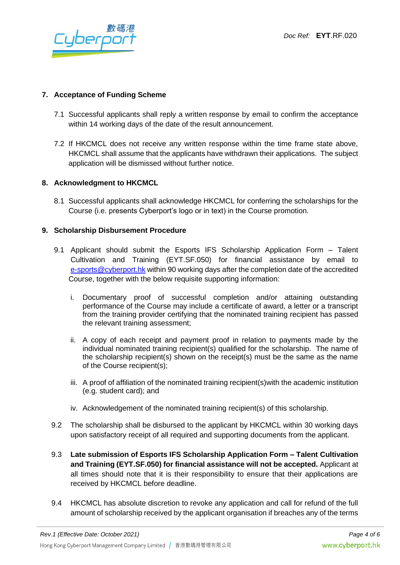

### **7. Acceptance of Funding Scheme**

- 7.1 Successful applicants shall reply a written response by email to confirm the acceptance within 14 working days of the date of the result announcement.
- 7.2 If HKCMCL does not receive any written response within the time frame state above, HKCMCL shall assume that the applicants have withdrawn their applications. The subject application will be dismissed without further notice.

#### **8. Acknowledgment to HKCMCL**

8.1 Successful applicants shall acknowledge HKCMCL for conferring the scholarships for the Course (i.e. presents Cyberport's logo or in text) in the Course promotion.

#### **9. Scholarship Disbursement Procedure**

- 9.1 Applicant should submit the Esports IFS Scholarship Application Form Talent Cultivation and Training (EYT.SF.050) for financial assistance by email to [e-sports@cyberport.hk](mailto:e-sports@cyberport.hk) within 90 working days after the completion date of the accredited Course, together with the below requisite supporting information:
	- i. Documentary proof of successful completion and/or attaining outstanding performance of the Course may include a certificate of award, a letter or a transcript from the training provider certifying that the nominated training recipient has passed the relevant training assessment;
	- ii. A copy of each receipt and payment proof in relation to payments made by the individual nominated training recipient(s) qualified for the scholarship. The name of the scholarship recipient(s) shown on the receipt(s) must be the same as the name of the Course recipient(s);
	- iii. A proof of affiliation of the nominated training recipient(s)with the academic institution (e.g. student card); and
	- iv. Acknowledgement of the nominated training recipient(s) of this scholarship.
- 9.2 The scholarship shall be disbursed to the applicant by HKCMCL within 30 working days upon satisfactory receipt of all required and supporting documents from the applicant.
- 9.3 **Late submission of Esports IFS Scholarship Application Form – Talent Cultivation and Training (EYT.SF.050) for financial assistance will not be accepted.** Applicant at all times should note that it is their responsibility to ensure that their applications are received by HKCMCL before deadline.
- 9.4 HKCMCL has absolute discretion to revoke any application and call for refund of the full amount of scholarship received by the applicant organisation if breaches any of the terms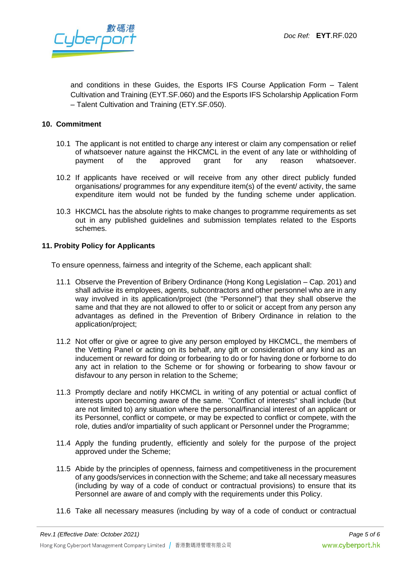Jberpe

and conditions in these Guides, the Esports IFS Course Application Form – Talent Cultivation and Training (EYT.SF.060) and the Esports IFS Scholarship Application Form – Talent Cultivation and Training (ETY.SF.050).

#### **10. Commitment**

- 10.1 The applicant is not entitled to charge any interest or claim any compensation or relief of whatsoever nature against the HKCMCL in the event of any late or withholding of payment of the approved grant for any reason whatsoever.
- 10.2 If applicants have received or will receive from any other direct publicly funded organisations/ programmes for any expenditure item(s) of the event/ activity, the same expenditure item would not be funded by the funding scheme under application.
- 10.3 HKCMCL has the absolute rights to make changes to programme requirements as set out in any published guidelines and submission templates related to the Esports schemes.

#### **11. Probity Policy for Applicants**

To ensure openness, fairness and integrity of the Scheme, each applicant shall:

- 11.1 Observe the Prevention of Bribery Ordinance (Hong Kong Legislation Cap. 201) and shall advise its employees, agents, subcontractors and other personnel who are in any way involved in its application/project (the "Personnel") that they shall observe the same and that they are not allowed to offer to or solicit or accept from any person any advantages as defined in the Prevention of Bribery Ordinance in relation to the application/project;
- 11.2 Not offer or give or agree to give any person employed by HKCMCL, the members of the Vetting Panel or acting on its behalf, any gift or consideration of any kind as an inducement or reward for doing or forbearing to do or for having done or forborne to do any act in relation to the Scheme or for showing or forbearing to show favour or disfavour to any person in relation to the Scheme;
- 11.3 Promptly declare and notify HKCMCL in writing of any potential or actual conflict of interests upon becoming aware of the same. "Conflict of interests" shall include (but are not limited to) any situation where the personal/financial interest of an applicant or its Personnel, conflict or compete, or may be expected to conflict or compete, with the role, duties and/or impartiality of such applicant or Personnel under the Programme;
- 11.4 Apply the funding prudently, efficiently and solely for the purpose of the project approved under the Scheme;
- 11.5 Abide by the principles of openness, fairness and competitiveness in the procurement of any goods/services in connection with the Scheme; and take all necessary measures (including by way of a code of conduct or contractual provisions) to ensure that its Personnel are aware of and comply with the requirements under this Policy.
- 11.6 Take all necessary measures (including by way of a code of conduct or contractual